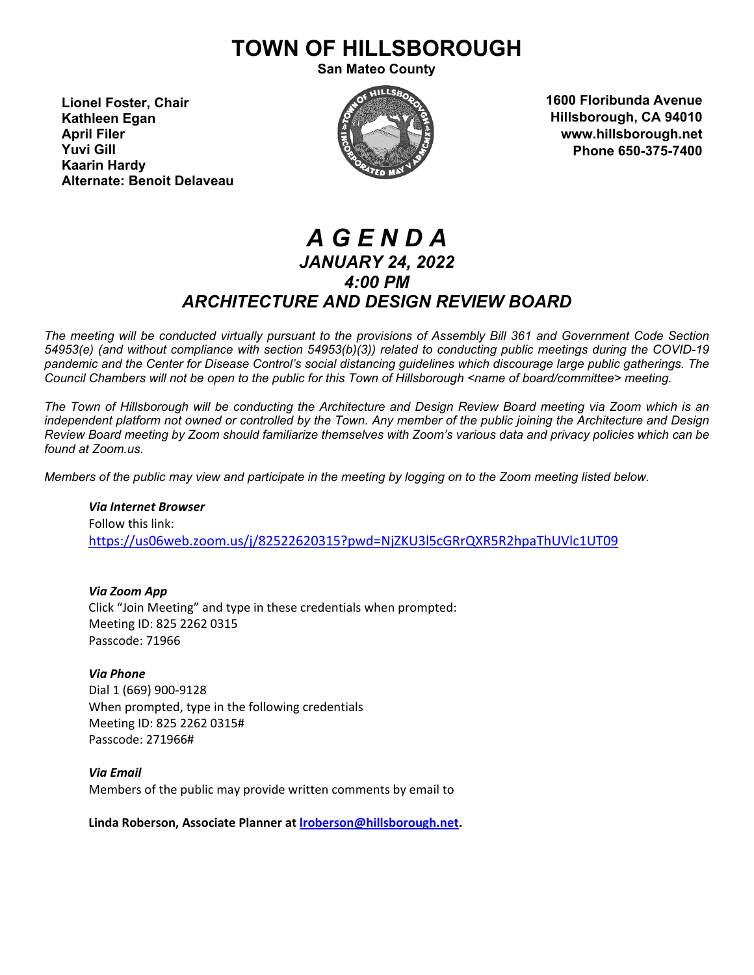# **TOWN OF HILLSBOROUGH**

**San Mateo County**

**Lionel Foster, Chair Kathleen Egan April Filer Yuvi Gill Kaarin Hardy Alternate: Benoit Delaveau**



**1600 Floribunda Avenue Hillsborough, CA 94010 www.hillsborough.net Phone 650-375-7400**

## *A G E N D A JANUARY 24, 2022 4:00 PM ARCHITECTURE AND DESIGN REVIEW BOARD*

*The meeting will be conducted virtually pursuant to the provisions of Assembly Bill 361 and Government Code Section 54953(e) (and without compliance with section 54953(b)(3)) related to conducting public meetings during the COVID-19 pandemic and the Center for Disease Control's social distancing guidelines which discourage large public gatherings. The Council Chambers will not be open to the public for this Town of Hillsborough <name of board/committee> meeting.*

*The Town of Hillsborough will be conducting the Architecture and Design Review Board meeting via Zoom which is an independent platform not owned or controlled by the Town. Any member of the public joining the Architecture and Design Review Board meeting by Zoom should familiarize themselves with Zoom's various data and privacy policies which can be found at Zoom.us.*

*Members of the public may view and participate in the meeting by logging on to the Zoom meeting listed below.* 

*Via Internet Browser* Follow this link: <https://us06web.zoom.us/j/82522620315?pwd=NjZKU3l5cGRrQXR5R2hpaThUVlc1UT09>

*Via Zoom App* Click "Join Meeting" and type in these credentials when prompted: Meeting ID: 825 2262 0315 Passcode: 71966

*Via Phone* Dial 1 (669) 900-9128 When prompted, type in the following credentials Meeting ID: 825 2262 0315# Passcode: 271966#

*Via Email* Members of the public may provide written comments by email to

**Linda Roberson, Associate Planner at [lroberson@hillsborough.net.](mailto:lroberson@hillsborough.net)**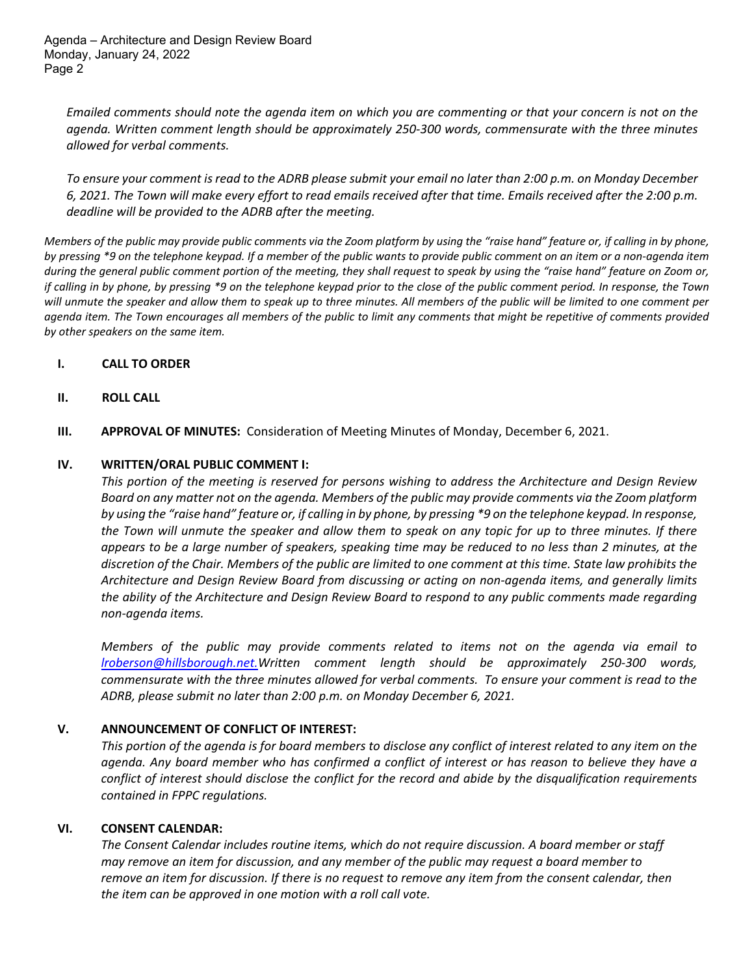*Emailed comments should note the agenda item on which you are commenting or that your concern is not on the agenda. Written comment length should be approximately 250-300 words, commensurate with the three minutes allowed for verbal comments.* 

*To ensure your comment is read to the ADRB please submit your email no later than 2:00 p.m. on Monday December 6, 2021. The Town will make every effort to read emails received after that time. Emails received after the 2:00 p.m. deadline will be provided to the ADRB after the meeting.*

*Members of the public may provide public comments via the Zoom platform by using the "raise hand" feature or, if calling in by phone, by pressing \*9 on the telephone keypad. If a member of the public wants to provide public comment on an item or a non-agenda item during the general public comment portion of the meeting, they shall request to speak by using the "raise hand" feature on Zoom or, if calling in by phone, by pressing \*9 on the telephone keypad prior to the close of the public comment period. In response, the Town will unmute the speaker and allow them to speak up to three minutes. All members of the public will be limited to one comment per agenda item. The Town encourages all members of the public to limit any comments that might be repetitive of comments provided by other speakers on the same item.* 

#### **I. CALL TO ORDER**

#### **II. ROLL CALL**

**III. APPROVAL OF MINUTES:** Consideration of Meeting Minutes of Monday, December 6, 2021.

#### **IV. WRITTEN/ORAL PUBLIC COMMENT I:**

*This portion of the meeting is reserved for persons wishing to address the Architecture and Design Review Board on any matter not on the agenda. Members of the public may provide comments via the Zoom platform by using the "raise hand" feature or, if calling in by phone, by pressing \*9 on the telephone keypad. In response, the Town will unmute the speaker and allow them to speak on any topic for up to three minutes. If there appears to be a large number of speakers, speaking time may be reduced to no less than 2 minutes, at the discretion of the Chair. Members of the public are limited to one comment at this time. State law prohibits the Architecture and Design Review Board from discussing or acting on non-agenda items, and generally limits the ability of the Architecture and Design Review Board to respond to any public comments made regarding non-agenda items.*

*Members of the public may provide comments related to items not on the agenda via email to [lroberson@hillsborough.net.W](mailto:lroberson@hillsborough.net.)ritten comment length should be approximately 250-300 words, commensurate with the three minutes allowed for verbal comments. To ensure your comment is read to the ADRB, please submit no later than 2:00 p.m. on Monday December 6, 2021.*

#### **V. ANNOUNCEMENT OF CONFLICT OF INTEREST:**

*This portion of the agenda is for board members to disclose any conflict of interest related to any item on the agenda. Any board member who has confirmed a conflict of interest or has reason to believe they have a conflict of interest should disclose the conflict for the record and abide by the disqualification requirements contained in FPPC regulations.*

#### **VI. CONSENT CALENDAR:**

*The Consent Calendar includes routine items, which do not require discussion. A board member or staff may remove an item for discussion, and any member of the public may request a board member to remove an item for discussion. If there is no request to remove any item from the consent calendar, then the item can be approved in one motion with a roll call vote.*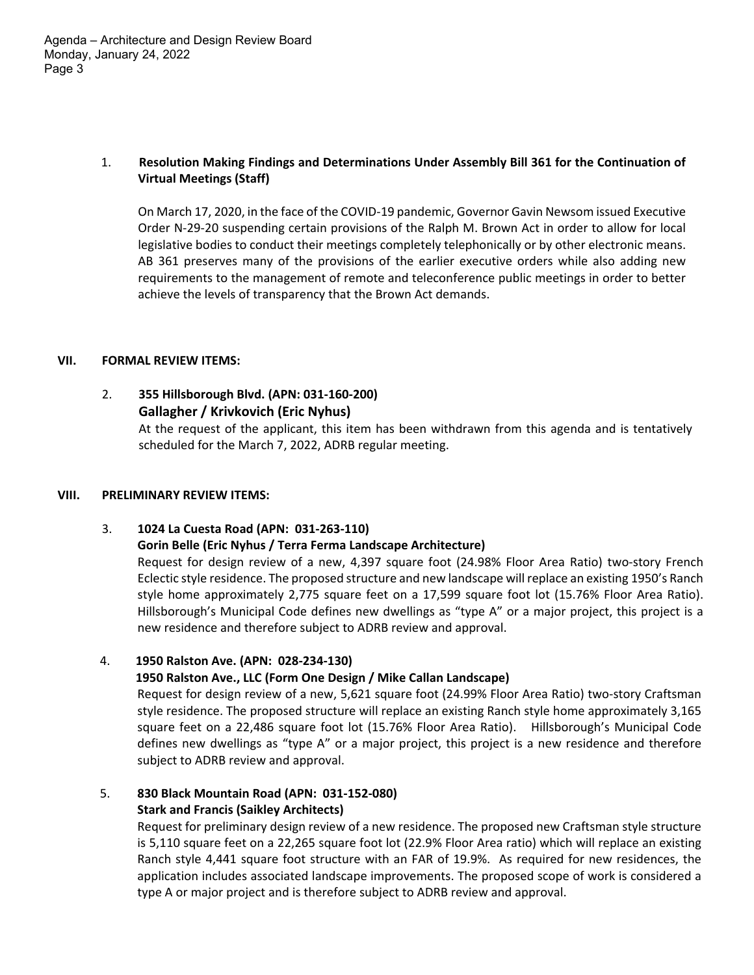#### 1. **Resolution Making Findings and Determinations Under Assembly Bill 361 for the Continuation of Virtual Meetings (Staff)**

On March 17, 2020, in the face of the COVID-19 pandemic, Governor Gavin Newsom issued Executive Order N-29-20 suspending certain provisions of the Ralph M. Brown Act in order to allow for local legislative bodies to conduct their meetings completely telephonically or by other electronic means. AB 361 preserves many of the provisions of the earlier executive orders while also adding new requirements to the management of remote and teleconference public meetings in order to better achieve the levels of transparency that the Brown Act demands.

#### **VII. FORMAL REVIEW ITEMS:**

#### 2. **355 Hillsborough Blvd. (APN: 031-160-200) Gallagher / Krivkovich (Eric Nyhus)**

At the request of the applicant, this item has been withdrawn from this agenda and is tentatively scheduled for the March 7, 2022, ADRB regular meeting.

#### **VIII. PRELIMINARY REVIEW ITEMS:**

#### 3. **1024 La Cuesta Road (APN: 031-263-110)**

#### **Gorin Belle (Eric Nyhus / Terra Ferma Landscape Architecture)**

Request for design review of a new, 4,397 square foot (24.98% Floor Area Ratio) two-story French Eclectic style residence. The proposed structure and new landscape will replace an existing 1950's Ranch style home approximately 2,775 square feet on a 17,599 square foot lot (15.76% Floor Area Ratio). Hillsborough's Municipal Code defines new dwellings as "type A" or a major project, this project is a new residence and therefore subject to ADRB review and approval.

#### 4. **1950 Ralston Ave. (APN: 028-234-130)**

#### **1950 Ralston Ave., LLC (Form One Design / Mike Callan Landscape)**

Request for design review of a new, 5,621 square foot (24.99% Floor Area Ratio) two-story Craftsman style residence. The proposed structure will replace an existing Ranch style home approximately 3,165 square feet on a 22,486 square foot lot (15.76% Floor Area Ratio). Hillsborough's Municipal Code defines new dwellings as "type A" or a major project, this project is a new residence and therefore subject to ADRB review and approval.

### 5. **830 Black Mountain Road (APN: 031-152-080)**

#### **Stark and Francis (Saikley Architects)**

Request for preliminary design review of a new residence. The proposed new Craftsman style structure is 5,110 square feet on a 22,265 square foot lot (22.9% Floor Area ratio) which will replace an existing Ranch style 4,441 square foot structure with an FAR of 19.9%. As required for new residences, the application includes associated landscape improvements. The proposed scope of work is considered a type A or major project and is therefore subject to ADRB review and approval.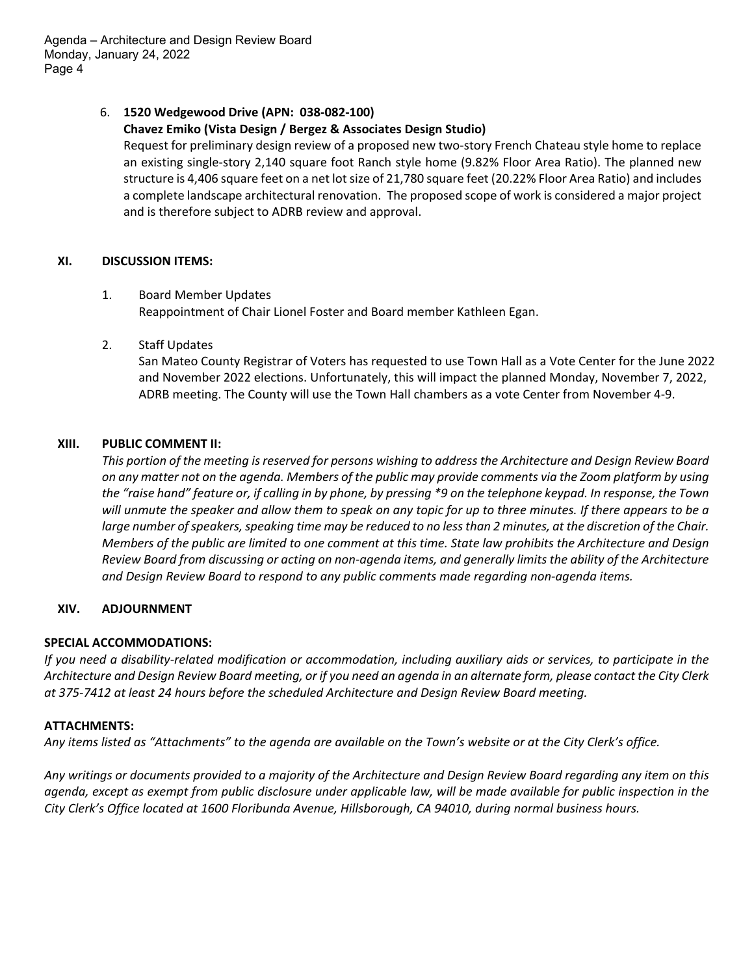#### 6. **1520 Wedgewood Drive (APN: 038-082-100)**

#### **Chavez Emiko (Vista Design / Bergez & Associates Design Studio)**

Request for preliminary design review of a proposed new two-story French Chateau style home to replace an existing single-story 2,140 square foot Ranch style home (9.82% Floor Area Ratio). The planned new structure is 4,406 square feet on a net lot size of 21,780 square feet (20.22% Floor Area Ratio) and includes a complete landscape architectural renovation. The proposed scope of work is considered a major project and is therefore subject to ADRB review and approval.

#### **XI. DISCUSSION ITEMS:**

- 1. Board Member Updates Reappointment of Chair Lionel Foster and Board member Kathleen Egan.
- 2. Staff Updates

San Mateo County Registrar of Voters has requested to use Town Hall as a Vote Center for the June 2022 and November 2022 elections. Unfortunately, this will impact the planned Monday, November 7, 2022, ADRB meeting. The County will use the Town Hall chambers as a vote Center from November 4-9.

#### **XIII. PUBLIC COMMENT II:**

*This portion of the meeting is reserved for persons wishing to address the Architecture and Design Review Board on any matter not on the agenda. Members of the public may provide comments via the Zoom platform by using the "raise hand" feature or, if calling in by phone, by pressing \*9 on the telephone keypad. In response, the Town will unmute the speaker and allow them to speak on any topic for up to three minutes. If there appears to be a large number of speakers, speaking time may be reduced to no less than 2 minutes, at the discretion of the Chair. Members of the public are limited to one comment at this time. State law prohibits the Architecture and Design Review Board from discussing or acting on non-agenda items, and generally limits the ability of the Architecture and Design Review Board to respond to any public comments made regarding non-agenda items.*

#### **XIV. ADJOURNMENT**

#### **SPECIAL ACCOMMODATIONS:**

*If you need a disability-related modification or accommodation, including auxiliary aids or services, to participate in the Architecture and Design Review Board meeting, or if you need an agenda in an alternate form, please contact the City Clerk at 375-7412 at least 24 hours before the scheduled Architecture and Design Review Board meeting.*

#### **ATTACHMENTS:**

*Any items listed as "Attachments" to the agenda are available on the Town's website or at the City Clerk's office.*

*Any writings or documents provided to a majority of the Architecture and Design Review Board regarding any item on this agenda, except as exempt from public disclosure under applicable law, will be made available for public inspection in the City Clerk's Office located at 1600 Floribunda Avenue, Hillsborough, CA 94010, during normal business hours.*